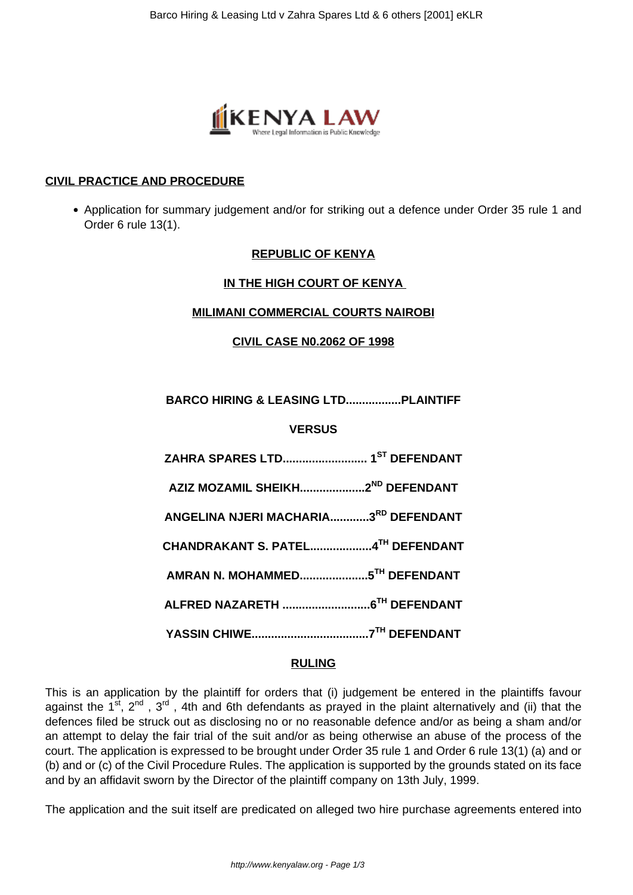

# **CIVIL PRACTICE AND PROCEDURE**

• Application for summary judgement and/or for striking out a defence under Order 35 rule 1 and Order 6 rule 13(1).

# **REPUBLIC OF KENYA**

# **IN THE HIGH COURT OF KENYA**

#### **MILIMANI COMMERCIAL COURTS NAIROBI**

**CIVIL CASE N0.2062 OF 1998**

**BARCO HIRING & LEASING LTD.................PLAINTIFF**

# **VERSUS**

| AZIZ MOZAMIL SHEIKH2 <sup>ND</sup> DEFENDANT |  |
|----------------------------------------------|--|
| ANGELINA NJERI MACHARIA3RD DEFENDANT         |  |
| CHANDRAKANT S. PATEL4TH DEFENDANT            |  |
|                                              |  |
|                                              |  |
|                                              |  |

#### **RULING**

This is an application by the plaintiff for orders that (i) judgement be entered in the plaintiffs favour against the 1<sup>st</sup>, 2<sup>nd</sup>, 3<sup>rd</sup>, 4th and 6th defendants as prayed in the plaint alternatively and (ii) that the defences filed be struck out as disclosing no or no reasonable defence and/or as being a sham and/or an attempt to delay the fair trial of the suit and/or as being otherwise an abuse of the process of the court. The application is expressed to be brought under Order 35 rule 1 and Order 6 rule 13(1) (a) and or (b) and or (c) of the Civil Procedure Rules. The application is supported by the grounds stated on its face and by an affidavit sworn by the Director of the plaintiff company on 13th July, 1999.

The application and the suit itself are predicated on alleged two hire purchase agreements entered into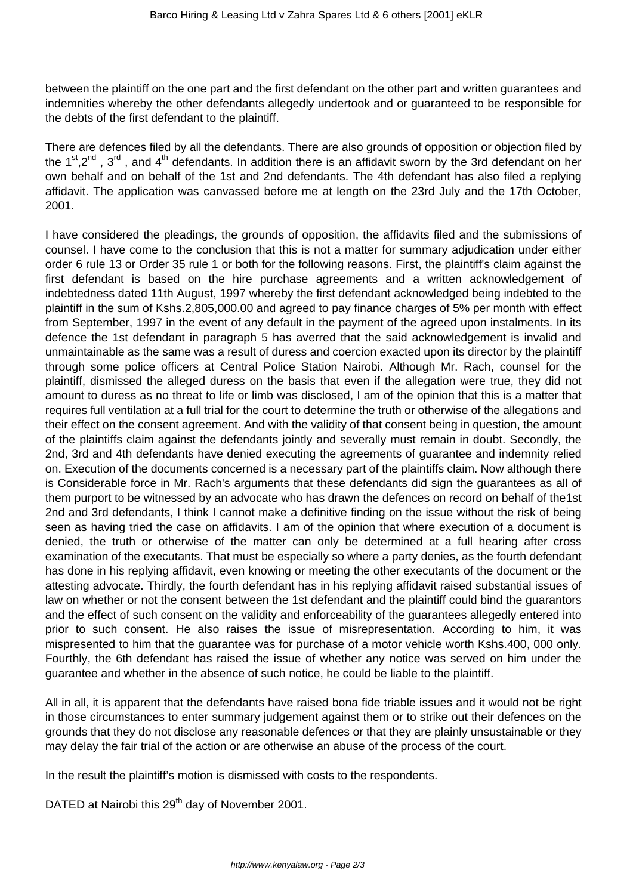between the plaintiff on the one part and the first defendant on the other part and written guarantees and indemnities whereby the other defendants allegedly undertook and or guaranteed to be responsible for the debts of the first defendant to the plaintiff.

There are defences filed by all the defendants. There are also grounds of opposition or objection filed by the 1<sup>st</sup>,2<sup>nd</sup>, 3<sup>rd</sup>, and 4<sup>th</sup> defendants. In addition there is an affidavit sworn by the 3rd defendant on her own behalf and on behalf of the 1st and 2nd defendants. The 4th defendant has also filed a replying affidavit. The application was canvassed before me at length on the 23rd July and the 17th October, 2001.

I have considered the pleadings, the grounds of opposition, the affidavits filed and the submissions of counsel. I have come to the conclusion that this is not a matter for summary adjudication under either order 6 rule 13 or Order 35 rule 1 or both for the following reasons. First, the plaintiff's claim against the first defendant is based on the hire purchase agreements and a written acknowledgement of indebtedness dated 11th August, 1997 whereby the first defendant acknowledged being indebted to the plaintiff in the sum of Kshs.2,805,000.00 and agreed to pay finance charges of 5% per month with effect from September, 1997 in the event of any default in the payment of the agreed upon instalments. In its defence the 1st defendant in paragraph 5 has averred that the said acknowledgement is invalid and unmaintainable as the same was a result of duress and coercion exacted upon its director by the plaintiff through some police officers at Central Police Station Nairobi. Although Mr. Rach, counsel for the plaintiff, dismissed the alleged duress on the basis that even if the allegation were true, they did not amount to duress as no threat to life or limb was disclosed, I am of the opinion that this is a matter that requires full ventilation at a full trial for the court to determine the truth or otherwise of the allegations and their effect on the consent agreement. And with the validity of that consent being in question, the amount of the plaintiffs claim against the defendants jointly and severally must remain in doubt. Secondly, the 2nd, 3rd and 4th defendants have denied executing the agreements of guarantee and indemnity relied on. Execution of the documents concerned is a necessary part of the plaintiffs claim. Now although there is Considerable force in Mr. Rach's arguments that these defendants did sign the guarantees as all of them purport to be witnessed by an advocate who has drawn the defences on record on behalf of the1st 2nd and 3rd defendants, I think I cannot make a definitive finding on the issue without the risk of being seen as having tried the case on affidavits. I am of the opinion that where execution of a document is denied, the truth or otherwise of the matter can only be determined at a full hearing after cross examination of the executants. That must be especially so where a party denies, as the fourth defendant has done in his replying affidavit, even knowing or meeting the other executants of the document or the attesting advocate. Thirdly, the fourth defendant has in his replying affidavit raised substantial issues of law on whether or not the consent between the 1st defendant and the plaintiff could bind the guarantors and the effect of such consent on the validity and enforceability of the guarantees allegedly entered into prior to such consent. He also raises the issue of misrepresentation. According to him, it was mispresented to him that the guarantee was for purchase of a motor vehicle worth Kshs.400, 000 only. Fourthly, the 6th defendant has raised the issue of whether any notice was served on him under the guarantee and whether in the absence of such notice, he could be liable to the plaintiff.

All in all, it is apparent that the defendants have raised bona fide triable issues and it would not be right in those circumstances to enter summary judgement against them or to strike out their defences on the grounds that they do not disclose any reasonable defences or that they are plainly unsustainable or they may delay the fair trial of the action or are otherwise an abuse of the process of the court.

In the result the plaintiff's motion is dismissed with costs to the respondents.

DATED at Nairobi this 29<sup>th</sup> day of November 2001.